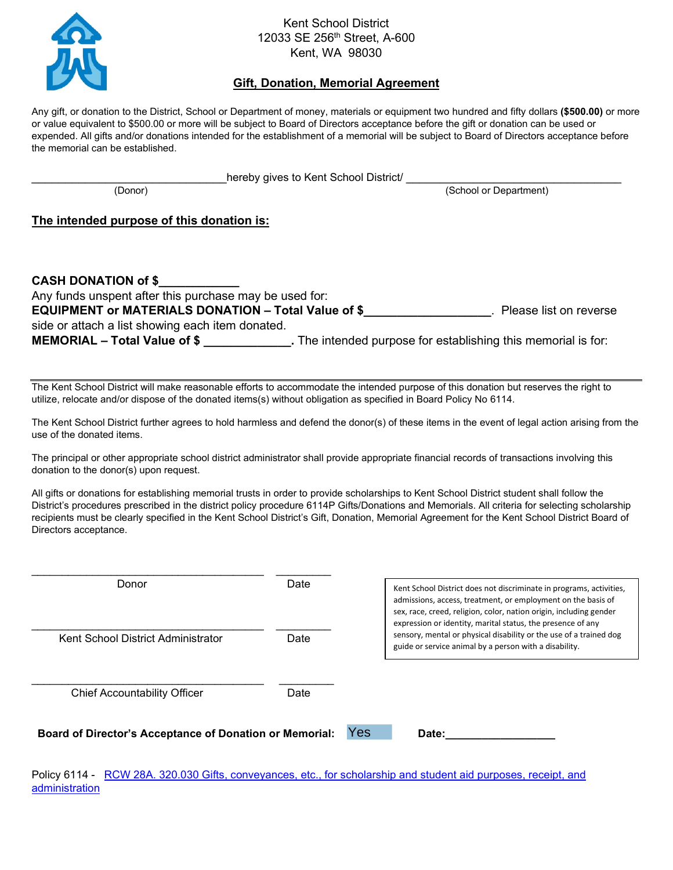

## Kent School District 12033 SE 256<sup>th</sup> Street, A-600 Kent, WA 98030

## **Gift, Donation, Memorial Agreement**

Any gift, or donation to the District, School or Department of money, materials or equipment two hundred and fifty dollars **(\$500.00)** or more or value equivalent to \$500.00 or more will be subject to Board of Directors acceptance before the gift or donation can be used or expended. All gifts and/or donations intended for the establishment of a memorial will be subject to Board of Directors acceptance before the memorial can be established.

| hereby gives to Kent School District/ |  |
|---------------------------------------|--|
|---------------------------------------|--|

(Donor) (School or Department)

## **The intended purpose of this donation is:**

| <b>CASH DONATION of \$</b>                                 |                                                               |                        |
|------------------------------------------------------------|---------------------------------------------------------------|------------------------|
| Any funds unspent after this purchase may be used for:     |                                                               |                        |
| <b>EQUIPMENT or MATERIALS DONATION - Total Value of \$</b> |                                                               | Please list on reverse |
| side or attach a list showing each item donated.           |                                                               |                        |
| MEMORIAL – Total Value of \$                               | . The intended purpose for establishing this memorial is for: |                        |

The Kent School District will make reasonable efforts to accommodate the intended purpose of this donation but reserves the right to utilize, relocate and/or dispose of the donated items(s) without obligation as specified in Board Policy No 6114.

The Kent School District further agrees to hold harmless and defend the donor(s) of these items in the event of legal action arising from the use of the donated items.

The principal or other appropriate school district administrator shall provide appropriate financial records of transactions involving this donation to the donor(s) upon request.

All gifts or donations for establishing memorial trusts in order to provide scholarships to Kent School District student shall follow the District's procedures prescribed in the district policy procedure 6114P Gifts/Donations and Memorials. All criteria for selecting scholarship recipients must be clearly specified in the Kent School District's Gift, Donation, Memorial Agreement for the Kent School District Board of Directors acceptance.

| Donor                                                          | Date |     | Kent School District does not discriminate in programs, activities,<br>admissions, access, treatment, or employment on the basis of<br>sex, race, creed, religion, color, nation origin, including gender<br>expression or identity, marital status, the presence of any |  |
|----------------------------------------------------------------|------|-----|--------------------------------------------------------------------------------------------------------------------------------------------------------------------------------------------------------------------------------------------------------------------------|--|
| Kent School District Administrator                             | Date |     | sensory, mental or physical disability or the use of a trained dog<br>guide or service animal by a person with a disability.                                                                                                                                             |  |
| <b>Chief Accountability Officer</b>                            | Date |     |                                                                                                                                                                                                                                                                          |  |
| <b>Board of Director's Acceptance of Donation or Memorial:</b> |      | Yes | Date:                                                                                                                                                                                                                                                                    |  |

Policy 6114 - RCW 28A. 320.030 Gifts, conveyances, etc., for scholarship and student aid purposes, receipt, and **[administration](http://apps.leg.wa.gov/RCW/default.aspx?cite=28A.320.030)**